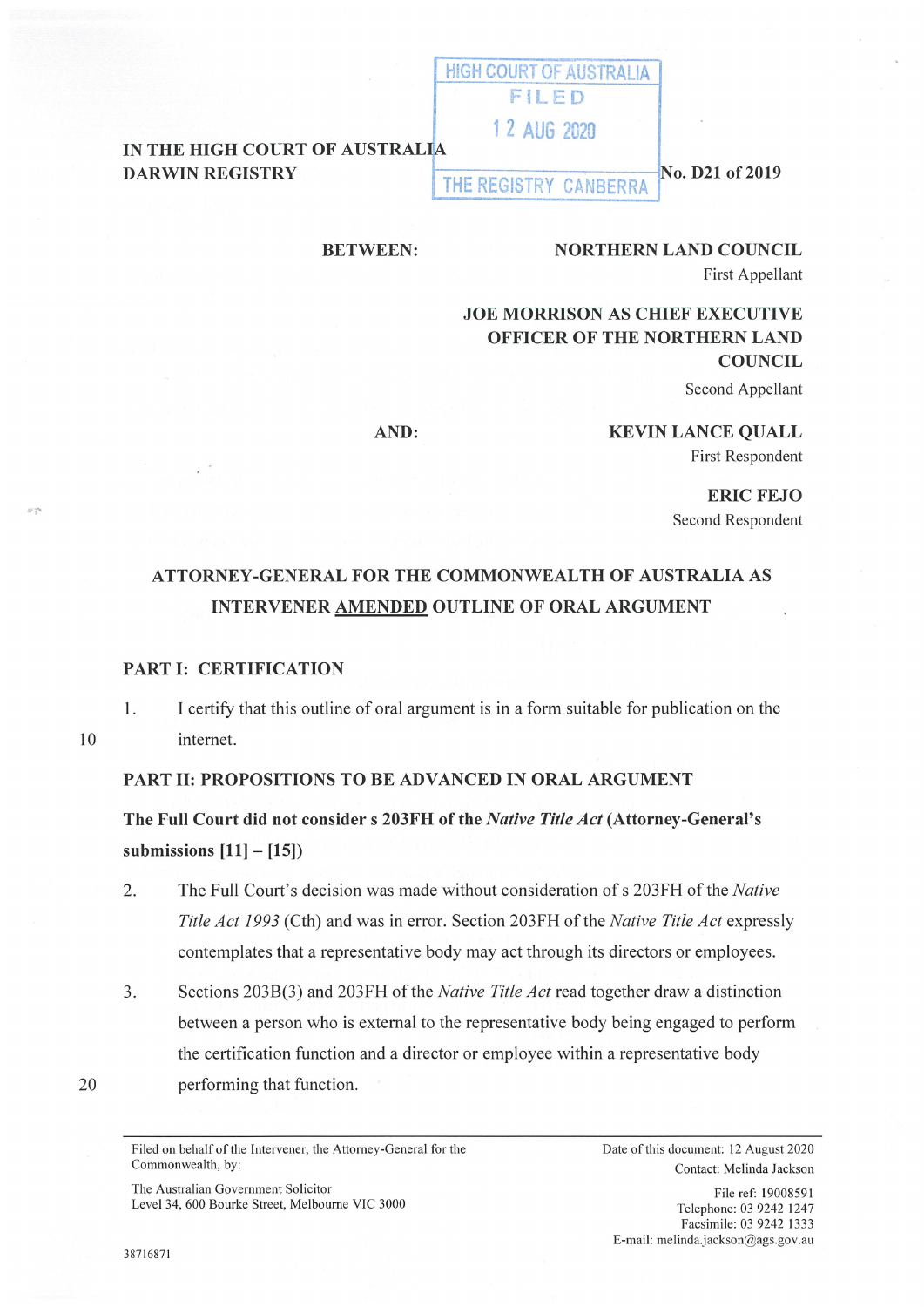#### IN THE HIGH COURT OF AUSTRALIA DARWIN REGISTRY THE REGISTRY CANBERRA

No. D21 of 2019

### **BETWEEN:**

# **NORTHERN LAND COUNCIL**

First Appellant

**JOE MORRISON AS CHIEF EXECUTIVE OFFICER OF THE NORTHERN LAND COUNCIL** 

HIGH COURT OF AUSTRALIA **FILED** 

1 2 AUG 2020

Second Appellant

**AND:** 

**KEVIN LANCE QUALL**  First Respondent

> **ERIC FEJO**  Second Respondent

## **ATTORNEY-GENERAL FOR THE COMMONWEALTH OF AUSTRALIA AS INTERVENER AMENDED OUTLINE OF ORAL ARGUMENT**

#### **PART** I: **CERTIFICATION**

1. I certify that this outline of oral argument is in a form suitable for publication on the internet.

### **PART II: PROPOSITIONS TO BE ADVANCED IN ORAL ARGUMENT**

**The Full Court did not considers 203FH of the** *Native Title Act* **(Attorney-General's submissions [11]** - **[15])** 

- 2. The Full Court's decision was made without consideration of s 203FH of the *Native Title Act 1993* (Cth) and was in error. Section 203FH of the *Native Title Act* expressly contemplates that a representative body may act through its directors or employees.
- 3. Sections 203B(3) and 203FH of the *Native Title Act* read together draw a distinction between a person who is external to the representative body being engaged to perform the certification function and a director or employee within a representative body performing that function.

20

10

The Australian Government Solicitor Level 34, 600 Bourke Street, Melbourne VIC 3000 Date of this document: 12 August 2020 Contact: Melinda Jackson

File ref: I 9008591 Telephone: 03 9242 1247 Facsimile: 03 9242 1333 E-mail: melinda.jackson@ags.gov.au

Filed on behalf of the Intervener, the Attorney-General for the Commonwealth, by: